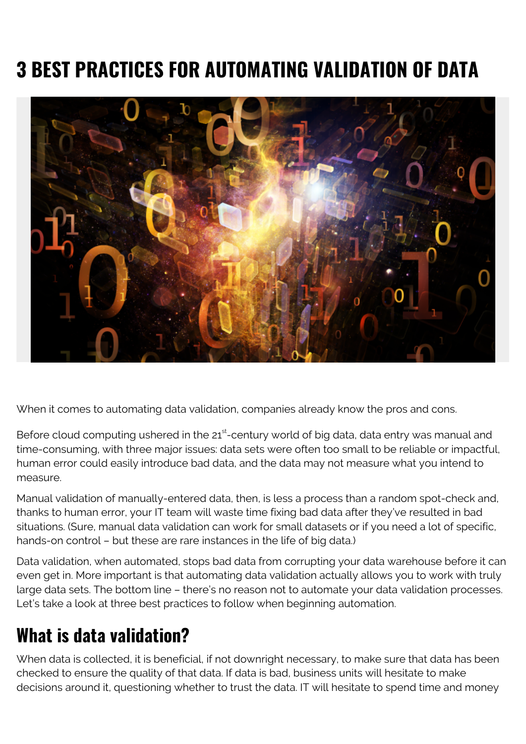# **3 BEST PRACTICES FOR AUTOMATING VALIDATION OF DATA**



When it comes to automating data validation, companies already know the pros and cons.

Before cloud computing ushered in the  $21<sup>st</sup>$ -century world of big data, data entry was manual and time-consuming, with three major issues: data sets were often too small to be reliable or impactful, human error could easily introduce bad data, and the data may not measure what you intend to measure.

Manual validation of manually-entered data, then, is less a process than a random spot-check and, thanks to human error, your IT team will waste time fixing bad data after they've resulted in bad situations. (Sure, manual data validation can work for small datasets or if you need a lot of specific, hands-on control – but these are rare instances in the life of big data.)

Data validation, when automated, stops bad data from corrupting your data warehouse before it can even get in. More important is that automating data validation actually allows you to work with truly large data sets. The bottom line – there's no reason not to automate your data validation processes. Let's take a look at three best practices to follow when beginning automation.

#### **What is data validation?**

When data is collected, it is beneficial, if not downright necessary, to make sure that data has been checked to ensure the quality of that data. If data is bad, business units will hesitate to make decisions around it, questioning whether to trust the data. IT will hesitate to spend time and money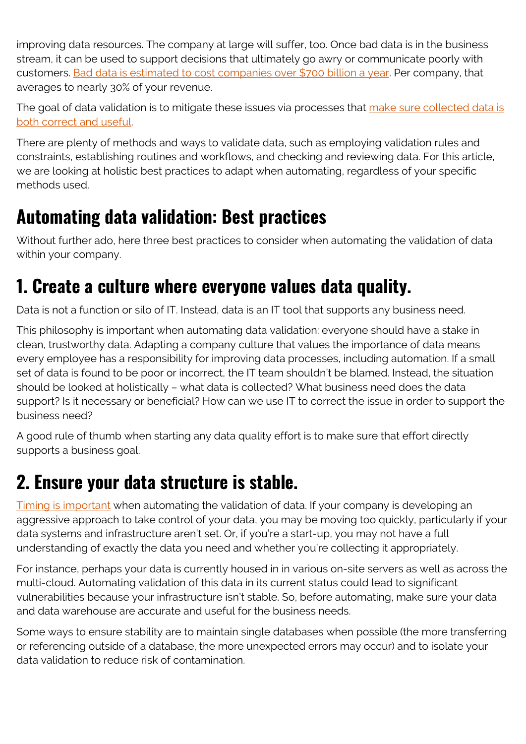improving data resources. The company at large will suffer, too. Once bad data is in the business stream, it can be used to support decisions that ultimately go awry or communicate poorly with customers. [Bad data is estimated to cost companies over \\$700 billion a year.](https://www.salesforce.com/hub/analytics/data-validation-practices/) Per company, that averages to nearly 30% of your revenue.

The goal of data validation is to mitigate these issues via processes that [make sure collected data is](https://en.wikipedia.org/wiki/Data_validation) [both correct and useful.](https://en.wikipedia.org/wiki/Data_validation)

There are plenty of methods and ways to validate data, such as employing validation rules and constraints, establishing routines and workflows, and checking and reviewing data. For this article, we are looking at holistic best practices to adapt when automating, regardless of your specific methods used.

#### **Automating data validation: Best practices**

Without further ado, here three best practices to consider when automating the validation of data within your company.

#### **1. Create a culture where everyone values data quality.**

Data is not a function or silo of IT. Instead, data is an IT tool that supports any business need.

This philosophy is important when automating data validation: everyone should have a stake in clean, trustworthy data. Adapting a company culture that values the importance of data means every employee has a responsibility for improving data processes, including automation. If a small set of data is found to be poor or incorrect, the IT team shouldn't be blamed. Instead, the situation should be looked at holistically – what data is collected? What business need does the data support? Is it necessary or beneficial? How can we use IT to correct the issue in order to support the business need?

A good rule of thumb when starting any data quality effort is to make sure that effort directly supports a business goal.

### **2. Ensure your data structure is stable.**

[Timing is important](https://sqa.stackexchange.com/questions/2364/should-data-validation-be-automated-in-a-rapid-development-environment) when automating the validation of data. If your company is developing an aggressive approach to take control of your data, you may be moving too quickly, particularly if your data systems and infrastructure aren't set. Or, if you're a start-up, you may not have a full understanding of exactly the data you need and whether you're collecting it appropriately.

For instance, perhaps your data is currently housed in in various on-site servers as well as across the multi-cloud. Automating validation of this data in its current status could lead to significant vulnerabilities because your infrastructure isn't stable. So, before automating, make sure your data and data warehouse are accurate and useful for the business needs.

Some ways to ensure stability are to maintain single databases when possible (the more transferring or referencing outside of a database, the more unexpected errors may occur) and to isolate your data validation to reduce risk of contamination.